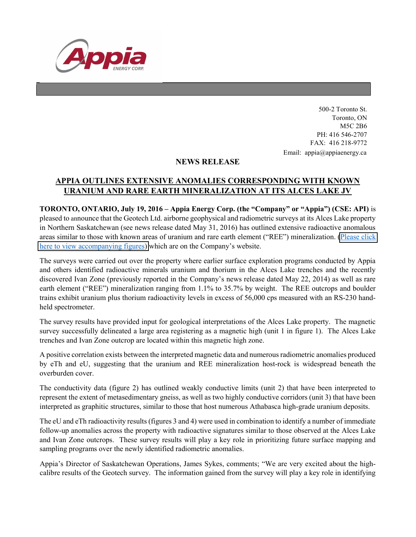

500-2 Toronto St. Toronto, ON M5C 2B6 PH: 416 546-2707 FAX: 416 218-9772 Email: appia@appiaenergy.ca

## NEWS RELEASE

## APPIA OUTLINES EXTENSIVE ANOMALIES CORRESPONDING WITH KNOWN URANIUM AND RARE EARTH MINERALIZATION AT ITS ALCES LAKE JV

TORONTO, ONTARIO, July 19, 2016 – Appia Energy Corp. (the "Company" or "Appia") (CSE: API) is pleased to announce that the Geotech Ltd. airborne geophysical and radiometric surveys at its Alces Lake property in Northern Saskatchewan (see news release dated May 31, 2016) has outlined extensive radioactive anomalous areas similar to those with known areas of uranium and rare earth element ("REE") mineralization. [\(Please click](http://www.appiaenergy.ca//files/ALCESLAKE_1.1.pdf)  [here to view accompanying figures\)](http://www.appiaenergy.ca//files/ALCESLAKE_1.1.pdf) which are on the Company's website.

The surveys were carried out over the property where earlier surface exploration programs conducted by Appia and others identified radioactive minerals uranium and thorium in the Alces Lake trenches and the recently discovered Ivan Zone (previously reported in the Company's news release dated May 22, 2014) as well as rare earth element ("REE") mineralization ranging from 1.1% to 35.7% by weight. The REE outcrops and boulder trains exhibit uranium plus thorium radioactivity levels in excess of 56,000 cps measured with an RS-230 handheld spectrometer.

The survey results have provided input for geological interpretations of the Alces Lake property. The magnetic survey successfully delineated a large area registering as a magnetic high (unit 1 in figure 1). The Alces Lake trenches and Ivan Zone outcrop are located within this magnetic high zone.

A positive correlation exists between the interpreted magnetic data and numerous radiometric anomalies produced by eTh and eU, suggesting that the uranium and REE mineralization host-rock is widespread beneath the overburden cover.

The conductivity data (figure 2) has outlined weakly conductive limits (unit 2) that have been interpreted to represent the extent of metasedimentary gneiss, as well as two highly conductive corridors (unit 3) that have been interpreted as graphitic structures, similar to those that host numerous Athabasca high-grade uranium deposits.

The eU and eTh radioactivity results (figures 3 and 4) were used in combination to identify a number of immediate follow-up anomalies across the property with radioactive signatures similar to those observed at the Alces Lake and Ivan Zone outcrops. These survey results will play a key role in prioritizing future surface mapping and sampling programs over the newly identified radiometric anomalies.

Appia's Director of Saskatchewan Operations, James Sykes, comments; "We are very excited about the highcalibre results of the Geotech survey. The information gained from the survey will play a key role in identifying